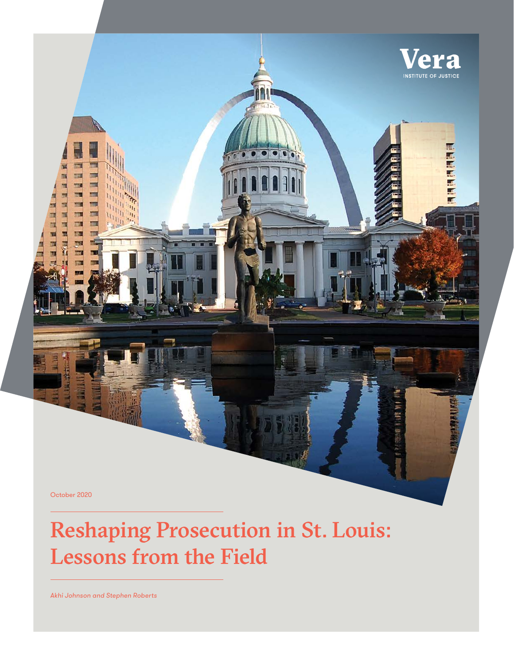October 2020

**Find** 

# Reshaping Prosecution in St. Louis: Lessons from the Field

Vera **INSTITUTE OF JUSTICE** 

ERMINITED

*Akhi Johnson and Stephen Roberts*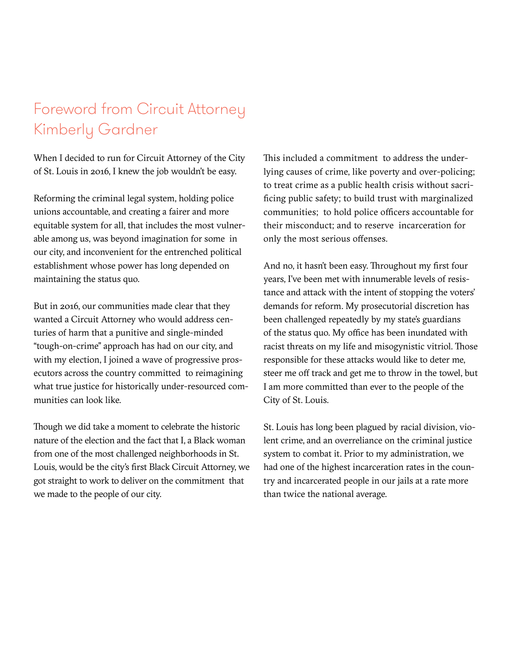## Foreword from Circuit Attorney Kimberly Gardner

When I decided to run for Circuit Attorney of the City of St. Louis in 2016, I knew the job wouldn't be easy.

Reforming the criminal legal system, holding police unions accountable, and creating a fairer and more equitable system for all, that includes the most vulnerable among us, was beyond imagination for some in our city, and inconvenient for the entrenched political establishment whose power has long depended on maintaining the status quo.

But in 2016, our communities made clear that they wanted a Circuit Attorney who would address centuries of harm that a punitive and single-minded "tough-on-crime" approach has had on our city, and with my election, I joined a wave of progressive prosecutors across the country committed to reimagining what true justice for historically under-resourced communities can look like.

Though we did take a moment to celebrate the historic nature of the election and the fact that I, a Black woman from one of the most challenged neighborhoods in St. Louis, would be the city's first Black Circuit Attorney, we got straight to work to deliver on the commitment that we made to the people of our city.

This included a commitment to address the underlying causes of crime, like poverty and over-policing; to treat crime as a public health crisis without sacrificing public safety; to build trust with marginalized communities; to hold police officers accountable for their misconduct; and to reserve incarceration for only the most serious offenses.

And no, it hasn't been easy. Throughout my first four years, I've been met with innumerable levels of resistance and attack with the intent of stopping the voters' demands for reform. My prosecutorial discretion has been challenged repeatedly by my state's guardians of the status quo. My office has been inundated with racist threats on my life and misogynistic vitriol. Those responsible for these attacks would like to deter me, steer me off track and get me to throw in the towel, but I am more committed than ever to the people of the City of St. Louis.

St. Louis has long been plagued by racial division, violent crime, and an overreliance on the criminal justice system to combat it. Prior to my administration, we had one of the highest incarceration rates in the country and incarcerated people in our jails at a rate more than twice the national average.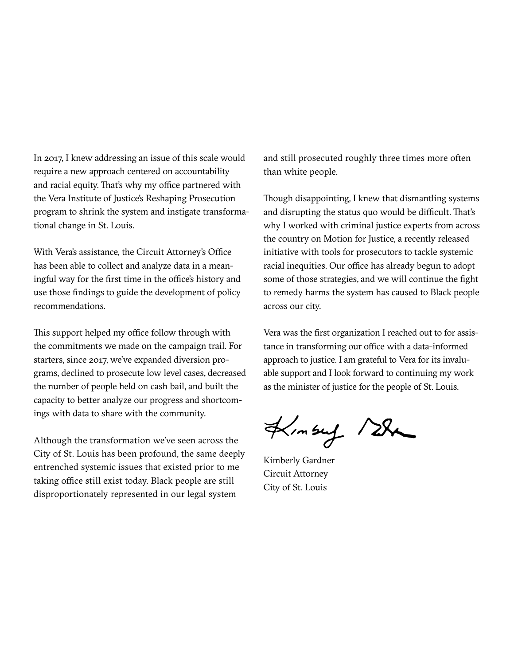In 2017, I knew addressing an issue of this scale would require a new approach centered on accountability and racial equity. That's why my office partnered with the Vera Institute of Justice's Reshaping Prosecution program to shrink the system and instigate transformational change in St. Louis.

With Vera's assistance, the Circuit Attorney's Office has been able to collect and analyze data in a meaningful way for the first time in the office's history and use those findings to guide the development of policy recommendations.

This support helped my office follow through with the commitments we made on the campaign trail. For starters, since 2017, we've expanded diversion programs, declined to prosecute low level cases, decreased the number of people held on cash bail, and built the capacity to better analyze our progress and shortcomings with data to share with the community.

Although the transformation we've seen across the City of St. Louis has been profound, the same deeply entrenched systemic issues that existed prior to me taking office still exist today. Black people are still disproportionately represented in our legal system

and still prosecuted roughly three times more often than white people.

Though disappointing, I knew that dismantling systems and disrupting the status quo would be difficult. That's why I worked with criminal justice experts from across the country on Motion for Justice, a recently released initiative with tools for prosecutors to tackle systemic racial inequities. Our office has already begun to adopt some of those strategies, and we will continue the fight to remedy harms the system has caused to Black people across our city.

Vera was the first organization I reached out to for assistance in transforming our office with a data-informed approach to justice. I am grateful to Vera for its invaluable support and I look forward to continuing my work as the minister of justice for the people of St. Louis.

 $4/m$ sug /  $28$ 

Kimberly Gardner Circuit Attorney City of St. Louis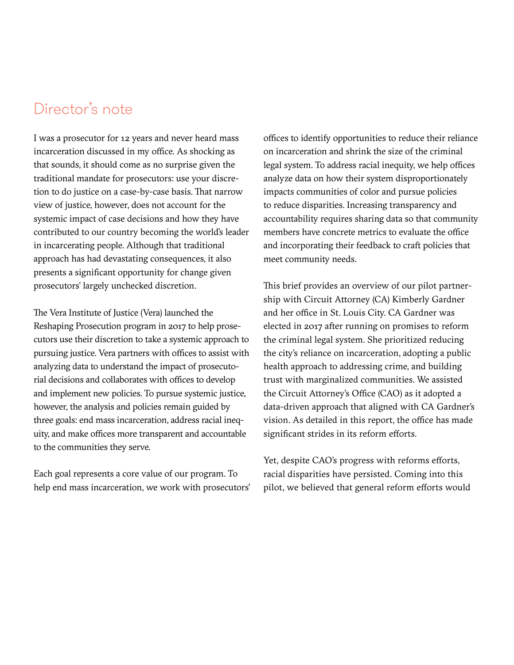## Director's note

I was a prosecutor for 12 years and never heard mass incarceration discussed in my office. As shocking as that sounds, it should come as no surprise given the traditional mandate for prosecutors: use your discretion to do justice on a case-by-case basis. That narrow view of justice, however, does not account for the systemic impact of case decisions and how they have contributed to our country becoming the world's leader in incarcerating people. Although that traditional approach has had devastating consequences, it also presents a significant opportunity for change given prosecutors' largely unchecked discretion.

The Vera Institute of Justice (Vera) launched the Reshaping Prosecution program in 2017 to help prosecutors use their discretion to take a systemic approach to pursuing justice. Vera partners with offices to assist with analyzing data to understand the impact of prosecutorial decisions and collaborates with offices to develop and implement new policies. To pursue systemic justice, however, the analysis and policies remain guided by three goals: end mass incarceration, address racial inequity, and make offices more transparent and accountable to the communities they serve.

Each goal represents a core value of our program. To help end mass incarceration, we work with prosecutors'

offices to identify opportunities to reduce their reliance on incarceration and shrink the size of the criminal legal system. To address racial inequity, we help offices analyze data on how their system disproportionately impacts communities of color and pursue policies to reduce disparities. Increasing transparency and accountability requires sharing data so that community members have concrete metrics to evaluate the office and incorporating their feedback to craft policies that meet community needs.

This brief provides an overview of our pilot partnership with Circuit Attorney (CA) Kimberly Gardner and her office in St. Louis City. CA Gardner was elected in 2017 after running on promises to reform the criminal legal system. She prioritized reducing the city's reliance on incarceration, adopting a public health approach to addressing crime, and building trust with marginalized communities. We assisted the Circuit Attorney's Office (CAO) as it adopted a data-driven approach that aligned with CA Gardner's vision. As detailed in this report, the office has made significant strides in its reform efforts.

Yet, despite CAO's progress with reforms efforts, racial disparities have persisted. Coming into this pilot, we believed that general reform efforts would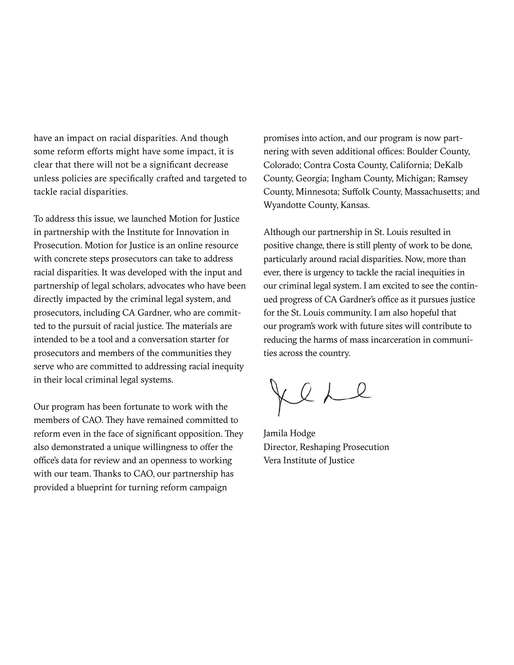have an impact on racial disparities. And though some reform efforts might have some impact, it is clear that there will not be a significant decrease unless policies are specifically crafted and targeted to tackle racial disparities.

To address this issue, we launched Motion for Justice in partnership with the Institute for Innovation in Prosecution. Motion for Justice is an online resource with concrete steps prosecutors can take to address racial disparities. It was developed with the input and partnership of legal scholars, advocates who have been directly impacted by the criminal legal system, and prosecutors, including CA Gardner, who are committed to the pursuit of racial justice. The materials are intended to be a tool and a conversation starter for prosecutors and members of the communities they serve who are committed to addressing racial inequity in their local criminal legal systems.

Our program has been fortunate to work with the members of CAO. They have remained committed to reform even in the face of significant opposition. They also demonstrated a unique willingness to offer the office's data for review and an openness to working with our team. Thanks to CAO, our partnership has provided a blueprint for turning reform campaign

promises into action, and our program is now partnering with seven additional offices: Boulder County, Colorado; Contra Costa County, California; DeKalb County, Georgia; Ingham County, Michigan; Ramsey County, Minnesota; Suffolk County, Massachusetts; and Wyandotte County, Kansas.

Although our partnership in St. Louis resulted in positive change, there is still plenty of work to be done, particularly around racial disparities. Now, more than ever, there is urgency to tackle the racial inequities in our criminal legal system. I am excited to see the continued progress of CA Gardner's office as it pursues justice for the St. Louis community. I am also hopeful that our program's work with future sites will contribute to reducing the harms of mass incarceration in communities across the country.

Jere

Jamila Hodge Director, Reshaping Prosecution Vera Institute of Justice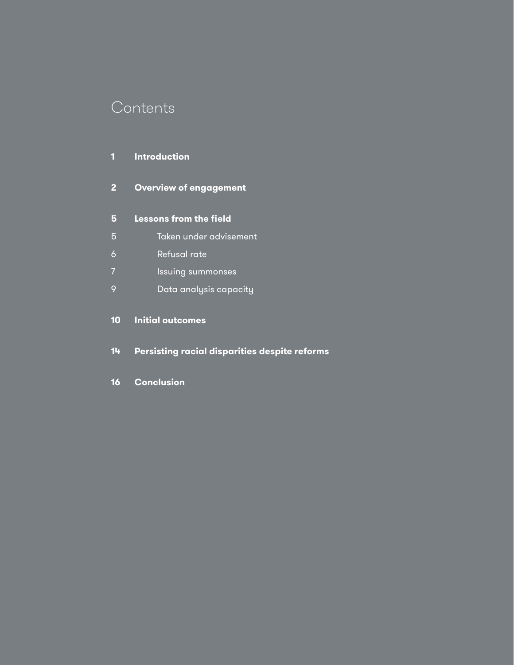## **Contents**

### **Introduction**

**Overview of engagement** 

### **Lessons from the field**

- 5 Taken under advisement
- 6 Refusal rate
- **Issuing summonses**
- 9 Data analysis capacity

### **Initial outcomes**

- **Persisting racial disparities despite reforms**
- **Conclusion**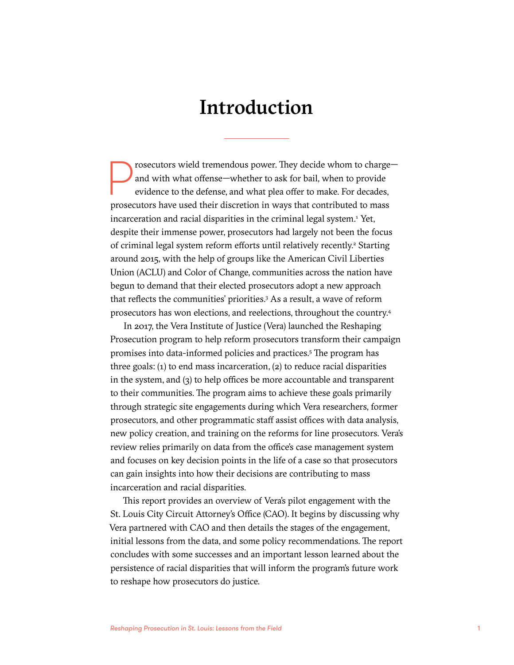## Introduction

prosecutors wield tremendous power. They decide whom to charge—<br>and with what offense—whether to ask for bail, when to provide<br>evidence to the defense, and what plea offer to make. For decades,<br>prosecutors have used their and with what offense—whether to ask for bail, when to provide evidence to the defense, and what plea offer to make. For decades, prosecutors have used their discretion in ways that contributed to mass incarceration and racial disparities in the criminal legal system.<sup>1</sup> Yet, despite their immense power, prosecutors had largely not been the focus of criminal legal system reform efforts until relatively recently.<sup>2</sup> Starting around 2015, with the help of groups like the American Civil Liberties Union (ACLU) and Color of Change, communities across the nation have begun to demand that their elected prosecutors adopt a new approach that reflects the communities' priorities.<sup>3</sup> As a result, a wave of reform prosecutors has won elections, and reelections, throughout the country.4

In 2017, the Vera Institute of Justice (Vera) launched the Reshaping Prosecution program to help reform prosecutors transform their campaign promises into data-informed policies and practices.<sup>5</sup> The program has three goals: (1) to end mass incarceration, (2) to reduce racial disparities in the system, and (3) to help offices be more accountable and transparent to their communities. The program aims to achieve these goals primarily through strategic site engagements during which Vera researchers, former prosecutors, and other programmatic staff assist offices with data analysis, new policy creation, and training on the reforms for line prosecutors. Vera's review relies primarily on data from the office's case management system and focuses on key decision points in the life of a case so that prosecutors can gain insights into how their decisions are contributing to mass incarceration and racial disparities.

This report provides an overview of Vera's pilot engagement with the St. Louis City Circuit Attorney's Office (CAO). It begins by discussing why Vera partnered with CAO and then details the stages of the engagement, initial lessons from the data, and some policy recommendations. The report concludes with some successes and an important lesson learned about the persistence of racial disparities that will inform the program's future work to reshape how prosecutors do justice.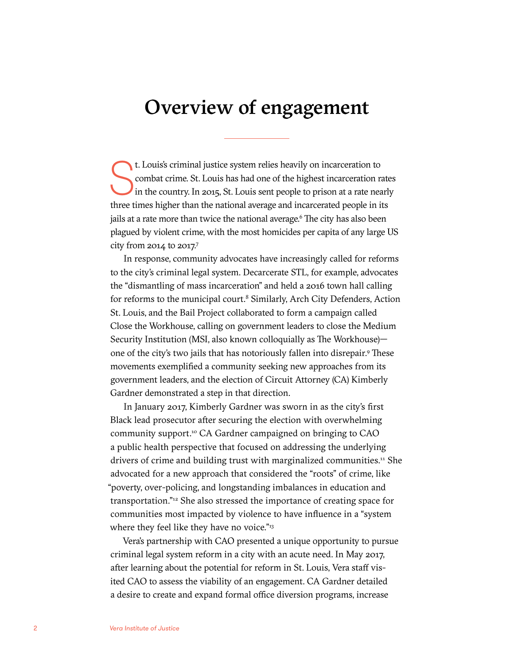## Overview of engagement

t. Louis's criminal justice system relies heavily on incarceration to combat crime. St. Louis has had one of the highest incarceration rate in the country. In 2015, St. Louis sent people to prison at a rate nearly three ti t. Louis's criminal justice system relies heavily on incarceration to combat crime. St. Louis has had one of the highest incarceration rates in the country. In 2015, St. Louis sent people to prison at a rate nearly jails at a rate more than twice the national average.<sup>6</sup> The city has also been plagued by violent crime, with the most homicides per capita of any large US city from 2014 to 2017.7

In response, community advocates have increasingly called for reforms to the city's criminal legal system. Decarcerate STL, for example, advocates the "dismantling of mass incarceration" and held a 2016 town hall calling for reforms to the municipal court.<sup>8</sup> Similarly, Arch City Defenders, Action St. Louis, and the Bail Project collaborated to form a campaign called Close the Workhouse, calling on government leaders to close the Medium Security Institution (MSI, also known colloquially as The Workhouse) one of the city's two jails that has notoriously fallen into disrepair.<sup>9</sup> These movements exemplified a community seeking new approaches from its government leaders, and the election of Circuit Attorney (CA) Kimberly Gardner demonstrated a step in that direction.

In January 2017, Kimberly Gardner was sworn in as the city's first Black lead prosecutor after securing the election with overwhelming community support.10 CA Gardner campaigned on bringing to CAO a public health perspective that focused on addressing the underlying drivers of crime and building trust with marginalized communities.<sup>11</sup> She advocated for a new approach that considered the "roots" of crime, like "poverty, over-policing, and longstanding imbalances in education and transportation."12 She also stressed the importance of creating space for communities most impacted by violence to have influence in a "system where they feel like they have no voice."<sup>13</sup>

Vera's partnership with CAO presented a unique opportunity to pursue criminal legal system reform in a city with an acute need. In May 2017, after learning about the potential for reform in St. Louis, Vera staff visited CAO to assess the viability of an engagement. CA Gardner detailed a desire to create and expand formal office diversion programs, increase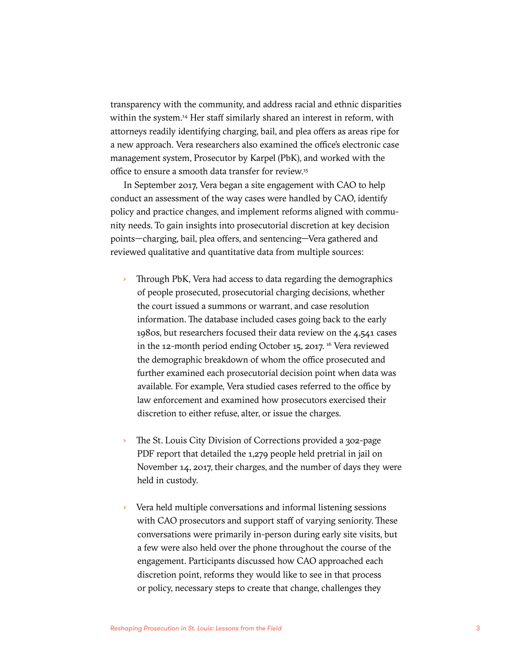transparency with the community, and address racial and ethnic disparities within the system.<sup>14</sup> Her staff similarly shared an interest in reform, with attorneys readily identifying charging, bail, and plea offers as areas ripe for a new approach. Vera researchers also examined the office's electronic case management system, Prosecutor by Karpel (PbK), and worked with the office to ensure a smooth data transfer for review.15

In September 2017, Vera began a site engagement with CAO to help conduct an assessment of the way cases were handled by CAO, identify policy and practice changes, and implement reforms aligned with community needs. To gain insights into prosecutorial discretion at key decision points—charging, bail, plea offers, and sentencing—Vera gathered and reviewed qualitative and quantitative data from multiple sources:

- Through PbK, Vera had access to data regarding the demographics of people prosecuted, prosecutorial charging decisions, whether the court issued a summons or warrant, and case resolution information. The database included cases going back to the early 1980s, but researchers focused their data review on the 4,541 cases in the 12-month period ending October 15, 2017.<sup>16</sup> Vera reviewed the demographic breakdown of whom the office prosecuted and further examined each prosecutorial decision point when data was available. For example, Vera studied cases referred to the office by law enforcement and examined how prosecutors exercised their discretion to either refuse, alter, or issue the charges.
- The St. Louis City Division of Corrections provided a 302-page PDF report that detailed the 1,279 people held pretrial in jail on November 14, 2017, their charges, and the number of days they were held in custody.
- Vera held multiple conversations and informal listening sessions with CAO prosecutors and support staff of varying seniority. These conversations were primarily in-person during early site visits, but a few were also held over the phone throughout the course of the engagement. Participants discussed how CAO approached each discretion point, reforms they would like to see in that process or policy, necessary steps to create that change, challenges they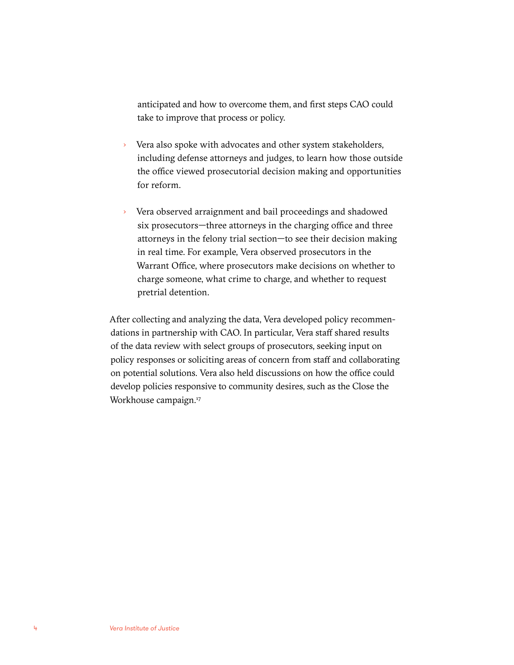anticipated and how to overcome them, and first steps CAO could take to improve that process or policy.

- › Vera also spoke with advocates and other system stakeholders, including defense attorneys and judges, to learn how those outside the office viewed prosecutorial decision making and opportunities for reform.
- Vera observed arraignment and bail proceedings and shadowed six prosecutors—three attorneys in the charging office and three attorneys in the felony trial section—to see their decision making in real time. For example, Vera observed prosecutors in the Warrant Office, where prosecutors make decisions on whether to charge someone, what crime to charge, and whether to request pretrial detention.

After collecting and analyzing the data, Vera developed policy recommendations in partnership with CAO. In particular, Vera staff shared results of the data review with select groups of prosecutors, seeking input on policy responses or soliciting areas of concern from staff and collaborating on potential solutions. Vera also held discussions on how the office could develop policies responsive to community desires, such as the Close the Workhouse campaign.<sup>17</sup>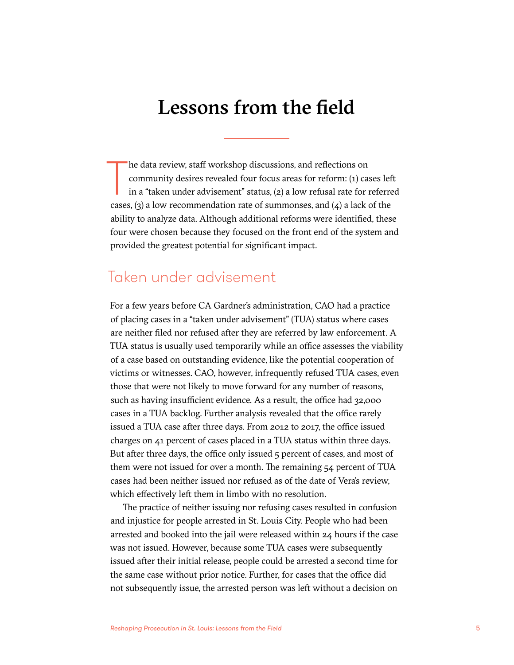## Lessons from the field

he data review, staff workshop discussions, and reflections on community desires revealed four focus areas for reform: (1) cases lef in a "taken under advisement" status, (2) a low refusal rate for referre cases, (3) a low he data review, staff workshop discussions, and reflections on community desires revealed four focus areas for reform: (1) cases left in a "taken under advisement" status, (2) a low refusal rate for referred ability to analyze data. Although additional reforms were identified, these four were chosen because they focused on the front end of the system and provided the greatest potential for significant impact.

### Taken under advisement

For a few years before CA Gardner's administration, CAO had a practice of placing cases in a "taken under advisement" (TUA) status where cases are neither filed nor refused after they are referred by law enforcement. A TUA status is usually used temporarily while an office assesses the viability of a case based on outstanding evidence, like the potential cooperation of victims or witnesses. CAO, however, infrequently refused TUA cases, even those that were not likely to move forward for any number of reasons, such as having insufficient evidence. As a result, the office had 32,000 cases in a TUA backlog. Further analysis revealed that the office rarely issued a TUA case after three days. From 2012 to 2017, the office issued charges on 41 percent of cases placed in a TUA status within three days. But after three days, the office only issued 5 percent of cases, and most of them were not issued for over a month. The remaining 54 percent of TUA cases had been neither issued nor refused as of the date of Vera's review, which effectively left them in limbo with no resolution.

The practice of neither issuing nor refusing cases resulted in confusion and injustice for people arrested in St. Louis City. People who had been arrested and booked into the jail were released within 24 hours if the case was not issued. However, because some TUA cases were subsequently issued after their initial release, people could be arrested a second time for the same case without prior notice. Further, for cases that the office did not subsequently issue, the arrested person was left without a decision on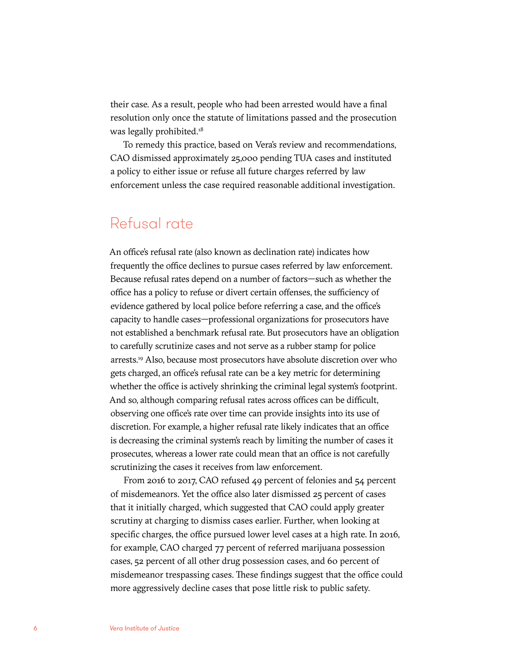their case. As a result, people who had been arrested would have a final resolution only once the statute of limitations passed and the prosecution was legally prohibited.<sup>18</sup>

To remedy this practice, based on Vera's review and recommendations, CAO dismissed approximately 25,000 pending TUA cases and instituted a policy to either issue or refuse all future charges referred by law enforcement unless the case required reasonable additional investigation.

### Refusal rate

An office's refusal rate (also known as declination rate) indicates how frequently the office declines to pursue cases referred by law enforcement. Because refusal rates depend on a number of factors—such as whether the office has a policy to refuse or divert certain offenses, the sufficiency of evidence gathered by local police before referring a case, and the office's capacity to handle cases—professional organizations for prosecutors have not established a benchmark refusal rate. But prosecutors have an obligation to carefully scrutinize cases and not serve as a rubber stamp for police arrests.19 Also, because most prosecutors have absolute discretion over who gets charged, an office's refusal rate can be a key metric for determining whether the office is actively shrinking the criminal legal system's footprint. And so, although comparing refusal rates across offices can be difficult, observing one office's rate over time can provide insights into its use of discretion. For example, a higher refusal rate likely indicates that an office is decreasing the criminal system's reach by limiting the number of cases it prosecutes, whereas a lower rate could mean that an office is not carefully scrutinizing the cases it receives from law enforcement.

From 2016 to 2017, CAO refused 49 percent of felonies and 54 percent of misdemeanors. Yet the office also later dismissed 25 percent of cases that it initially charged, which suggested that CAO could apply greater scrutiny at charging to dismiss cases earlier. Further, when looking at specific charges, the office pursued lower level cases at a high rate. In 2016, for example, CAO charged 77 percent of referred marijuana possession cases, 52 percent of all other drug possession cases, and 60 percent of misdemeanor trespassing cases. These findings suggest that the office could more aggressively decline cases that pose little risk to public safety.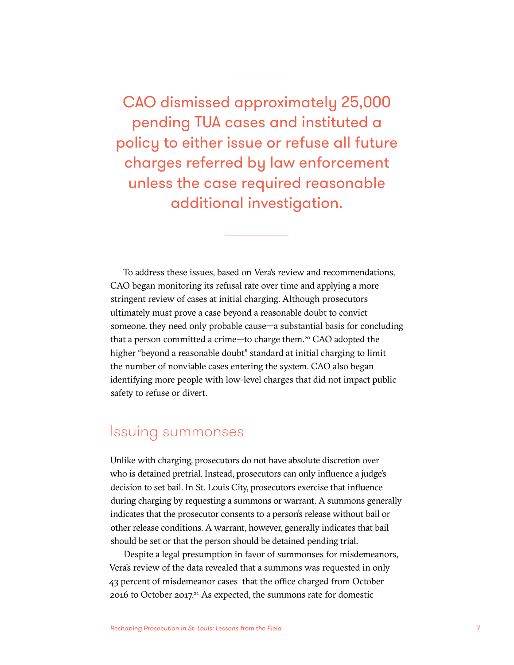CAO dismissed approximately 25,000 pending TUA cases and instituted a policy to either issue or refuse all future charges referred by law enforcement unless the case required reasonable additional investigation.

To address these issues, based on Vera's review and recommendations, CAO began monitoring its refusal rate over time and applying a more stringent review of cases at initial charging. Although prosecutors ultimately must prove a case beyond a reasonable doubt to convict someone, they need only probable cause—a substantial basis for concluding that a person committed a crime—to charge them.20 CAO adopted the higher "beyond a reasonable doubt" standard at initial charging to limit the number of nonviable cases entering the system. CAO also began identifying more people with low-level charges that did not impact public safety to refuse or divert.

### Issuing summonses

Unlike with charging, prosecutors do not have absolute discretion over who is detained pretrial. Instead, prosecutors can only influence a judge's decision to set bail. In St. Louis City, prosecutors exercise that influence during charging by requesting a summons or warrant. A summons generally indicates that the prosecutor consents to a person's release without bail or other release conditions. A warrant, however, generally indicates that bail should be set or that the person should be detained pending trial.

Despite a legal presumption in favor of summonses for misdemeanors, Vera's review of the data revealed that a summons was requested in only 43 percent of misdemeanor cases that the office charged from October 2016 to October 2017.<sup>21</sup> As expected, the summons rate for domestic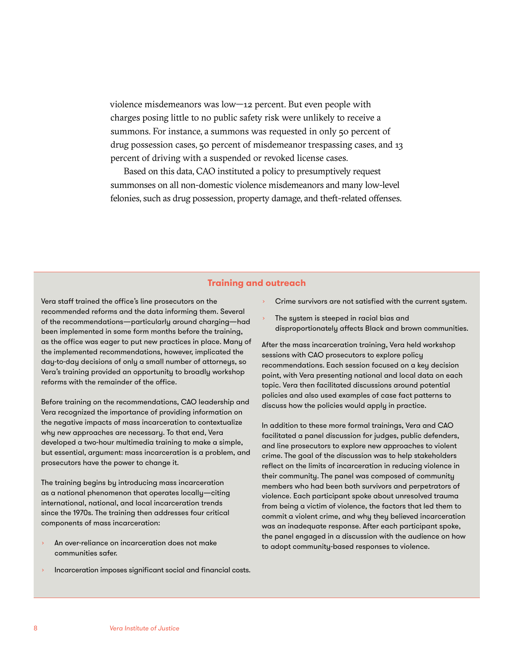violence misdemeanors was low—12 percent. But even people with charges posing little to no public safety risk were unlikely to receive a summons. For instance, a summons was requested in only 50 percent of drug possession cases, 50 percent of misdemeanor trespassing cases, and 13 percent of driving with a suspended or revoked license cases.

Based on this data, CAO instituted a policy to presumptively request summonses on all non-domestic violence misdemeanors and many low-level felonies, such as drug possession, property damage, and theft-related offenses.

#### **Training and outreach**

Vera staff trained the office's line prosecutors on the recommended reforms and the data informing them. Several of the recommendations—particularly around charging—had been implemented in some form months before the training, as the office was eager to put new practices in place. Many of the implemented recommendations, however, implicated the day-to-day decisions of only a small number of attorneys, so Vera's training provided an opportunity to broadly workshop reforms with the remainder of the office.

Before training on the recommendations, CAO leadership and Vera recognized the importance of providing information on the negative impacts of mass incarceration to contextualize why new approaches are necessary. To that end, Vera developed a two-hour multimedia training to make a simple, but essential, argument: mass incarceration is a problem, and prosecutors have the power to change it.

The training begins by introducing mass incarceration as a national phenomenon that operates locally—citing international, national, and local incarceration trends since the 1970s. The training then addresses four critical components of mass incarceration:

- An over-reliance on incarceration does not make communities safer.
- Incarceration imposes significant social and financial costs.
- Crime survivors are not satisfied with the current system.
- The system is steeped in racial bias and disproportionately affects Black and brown communities.

After the mass incarceration training, Vera held workshop sessions with CAO prosecutors to explore policy recommendations. Each session focused on a key decision point, with Vera presenting national and local data on each topic. Vera then facilitated discussions around potential policies and also used examples of case fact patterns to discuss how the policies would apply in practice.

In addition to these more formal trainings, Vera and CAO facilitated a panel discussion for judges, public defenders, and line prosecutors to explore new approaches to violent crime. The goal of the discussion was to help stakeholders reflect on the limits of incarceration in reducing violence in their community. The panel was composed of community members who had been both survivors and perpetrators of violence. Each participant spoke about unresolved trauma from being a victim of violence, the factors that led them to commit a violent crime, and why they believed incarceration was an inadequate response. After each participant spoke, the panel engaged in a discussion with the audience on how to adopt community-based responses to violence.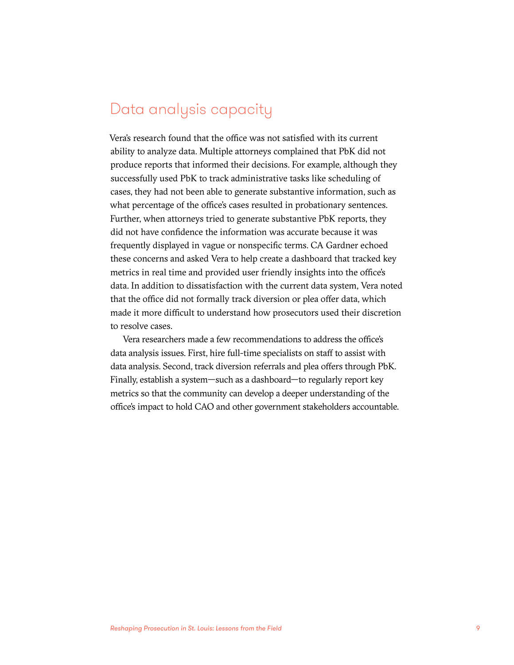## Data analysis capacity

Vera's research found that the office was not satisfied with its current ability to analyze data. Multiple attorneys complained that PbK did not produce reports that informed their decisions. For example, although they successfully used PbK to track administrative tasks like scheduling of cases, they had not been able to generate substantive information, such as what percentage of the office's cases resulted in probationary sentences. Further, when attorneys tried to generate substantive PbK reports, they did not have confidence the information was accurate because it was frequently displayed in vague or nonspecific terms. CA Gardner echoed these concerns and asked Vera to help create a dashboard that tracked key metrics in real time and provided user friendly insights into the office's data. In addition to dissatisfaction with the current data system, Vera noted that the office did not formally track diversion or plea offer data, which made it more difficult to understand how prosecutors used their discretion to resolve cases.

Vera researchers made a few recommendations to address the office's data analysis issues. First, hire full-time specialists on staff to assist with data analysis. Second, track diversion referrals and plea offers through PbK. Finally, establish a system—such as a dashboard—to regularly report key metrics so that the community can develop a deeper understanding of the office's impact to hold CAO and other government stakeholders accountable.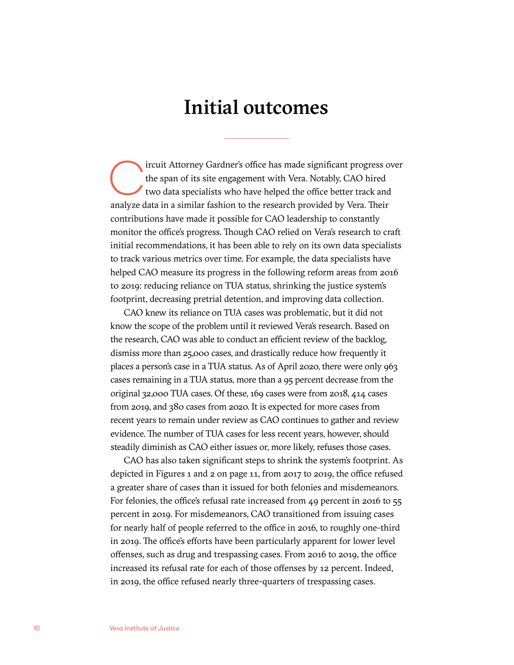## Initial outcomes

ircuit Attorney Gardner's office has made significant progress over the span of its site engagement with Vera. Notably, CAO hired two data specialists who have helped the office better track and analyze data in a similar fashion to the research provided by Vera. Their contributions have made it possible for CAO leadership to constantly monitor the office's progress. Though CAO relied on Vera's research to craft initial recommendations, it has been able to rely on its own data specialists to track various metrics over time. For example, the data specialists have helped CAO measure its progress in the following reform areas from 2016 to 2019: reducing reliance on TUA status, shrinking the justice system's footprint, decreasing pretrial detention, and improving data collection.

CAO knew its reliance on TUA cases was problematic, but it did not know the scope of the problem until it reviewed Vera's research. Based on the research, CAO was able to conduct an efficient review of the backlog, dismiss more than 25,000 cases, and drastically reduce how frequently it places a person's case in a TUA status. As of April 2020, there were only 963 cases remaining in a TUA status, more than a 95 percent decrease from the original 32,000 TUA cases. Of these, 169 cases were from 2018, 414 cases from 2019, and 380 cases from 2020. It is expected for more cases from recent years to remain under review as CAO continues to gather and review evidence. The number of TUA cases for less recent years, however, should steadily diminish as CAO either issues or, more likely, refuses those cases.

CAO has also taken significant steps to shrink the system's footprint. As depicted in Figures 1 and 2 on page 11, from 2017 to 2019, the office refused a greater share of cases than it issued for both felonies and misdemeanors. For felonies, the office's refusal rate increased from 49 percent in 2016 to 55 percent in 2019. For misdemeanors, CAO transitioned from issuing cases for nearly half of people referred to the office in 2016, to roughly one-third in 2019. The office's efforts have been particularly apparent for lower level offenses, such as drug and trespassing cases. From 2016 to 2019, the office increased its refusal rate for each of those offenses by 12 percent. Indeed, in 2019, the office refused nearly three-quarters of trespassing cases.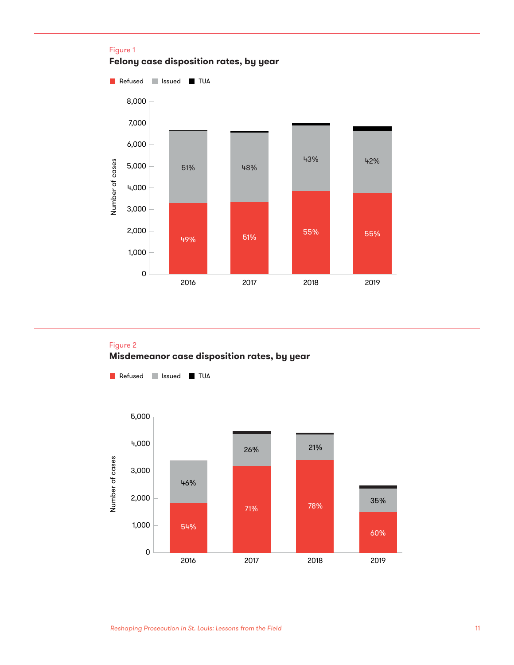

### Figure 2 **Misdemeanor case disposition rates, by year**

**Refused** Issued TUA

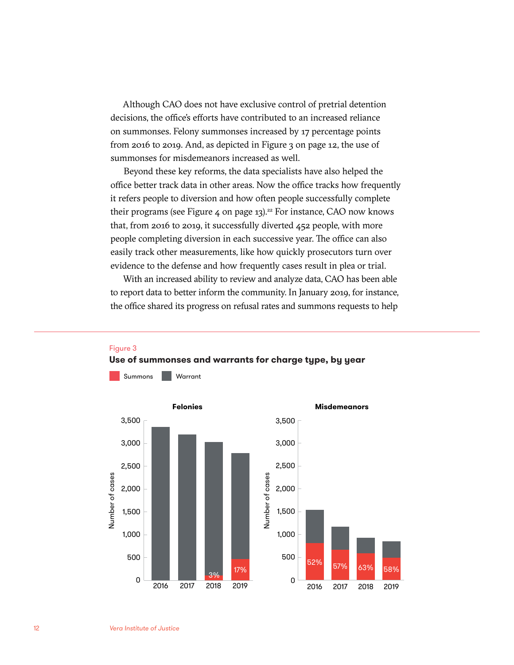Although CAO does not have exclusive control of pretrial detention decisions, the office's efforts have contributed to an increased reliance on summonses. Felony summonses increased by 17 percentage points from 2016 to 2019. And, as depicted in Figure 3 on page 12, the use of summonses for misdemeanors increased as well.

Beyond these key reforms, the data specialists have also helped the office better track data in other areas. Now the office tracks how frequently it refers people to diversion and how often people successfully complete their programs (see Figure 4 on page  $13$ ).<sup>22</sup> For instance, CAO now knows that, from 2016 to 2019, it successfully diverted 452 people, with more people completing diversion in each successive year. The office can also easily track other measurements, like how quickly prosecutors turn over evidence to the defense and how frequently cases result in plea or trial.

With an increased ability to review and analyze data, CAO has been able to report data to better inform the community. In January 2019, for instance, the office shared its progress on refusal rates and summons requests to help



### Figure 3 **Use of summonses and warrants for charge type, by year**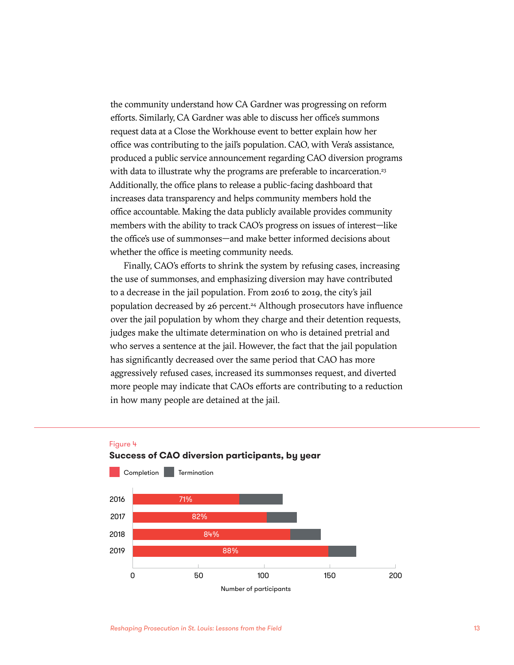the community understand how CA Gardner was progressing on reform efforts. Similarly, CA Gardner was able to discuss her office's summons request data at a Close the Workhouse event to better explain how her office was contributing to the jail's population. CAO, with Vera's assistance, produced a public service announcement regarding CAO diversion programs with data to illustrate why the programs are preferable to incarceration.<sup>23</sup> Additionally, the office plans to release a public-facing dashboard that increases data transparency and helps community members hold the office accountable. Making the data publicly available provides community members with the ability to track CAO's progress on issues of interest—like the office's use of summonses—and make better informed decisions about whether the office is meeting community needs.

Finally, CAO's efforts to shrink the system by refusing cases, increasing the use of summonses, and emphasizing diversion may have contributed to a decrease in the jail population. From 2016 to 2019, the city's jail population decreased by 26 percent.<sup>24</sup> Although prosecutors have influence over the jail population by whom they charge and their detention requests, judges make the ultimate determination on who is detained pretrial and who serves a sentence at the jail. However, the fact that the jail population has significantly decreased over the same period that CAO has more aggressively refused cases, increased its summonses request, and diverted more people may indicate that CAOs efforts are contributing to a reduction in how many people are detained at the jail.





Figure 4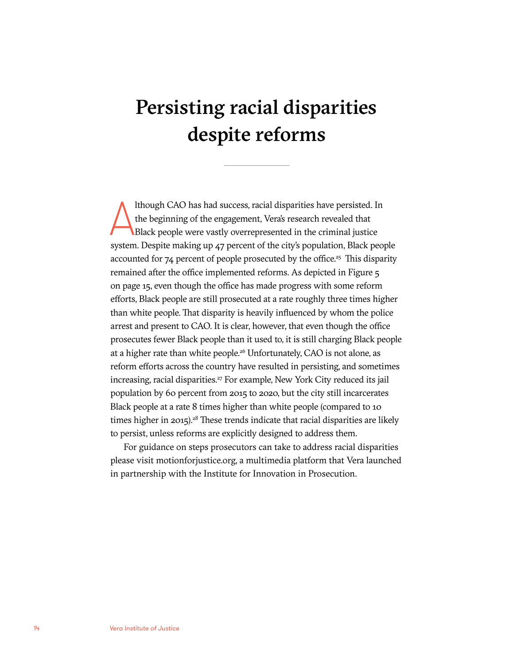# Persisting racial disparities despite reforms

Ithough CAO has had success, racial disparities have persisted. In<br>the beginning of the engagement, Vera's research revealed that<br>Black people were vastly overrepresented in the criminal justice<br>system. Despite making up 4 lthough CAO has had success, racial disparities have persisted. In the beginning of the engagement, Vera's research revealed that Black people were vastly overrepresented in the criminal justice accounted for  $74$  percent of people prosecuted by the office.<sup>25</sup> This disparity remained after the office implemented reforms. As depicted in Figure 5 on page 15, even though the office has made progress with some reform efforts, Black people are still prosecuted at a rate roughly three times higher than white people. That disparity is heavily influenced by whom the police arrest and present to CAO. It is clear, however, that even though the office prosecutes fewer Black people than it used to, it is still charging Black people at a higher rate than white people.<sup>26</sup> Unfortunately, CAO is not alone, as reform efforts across the country have resulted in persisting, and sometimes increasing, racial disparities.<sup>27</sup> For example, New York City reduced its jail population by 60 percent from 2015 to 2020, but the city still incarcerates Black people at a rate 8 times higher than white people (compared to 10 times higher in 2015).<sup>28</sup> These trends indicate that racial disparities are likely to persist, unless reforms are explicitly designed to address them.

For guidance on steps prosecutors can take to address racial disparities please visit motionforjustice.org, a multimedia platform that Vera launched in partnership with the Institute for Innovation in Prosecution.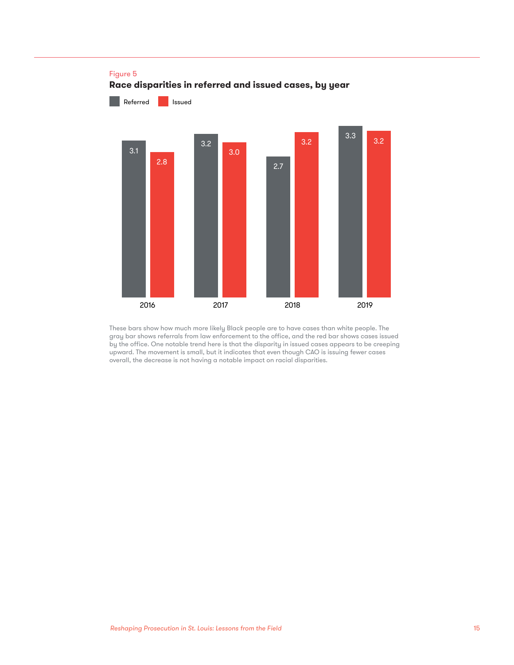

These bars show how much more likely Black people are to have cases than white people. The gray bar shows referrals from law enforcement to the office, and the red bar shows cases issued by the office. One notable trend here is that the disparity in issued cases appears to be creeping upward. The movement is small, but it indicates that even though CAO is issuing fewer cases overall, the decrease is not having a notable impact on racial disparities.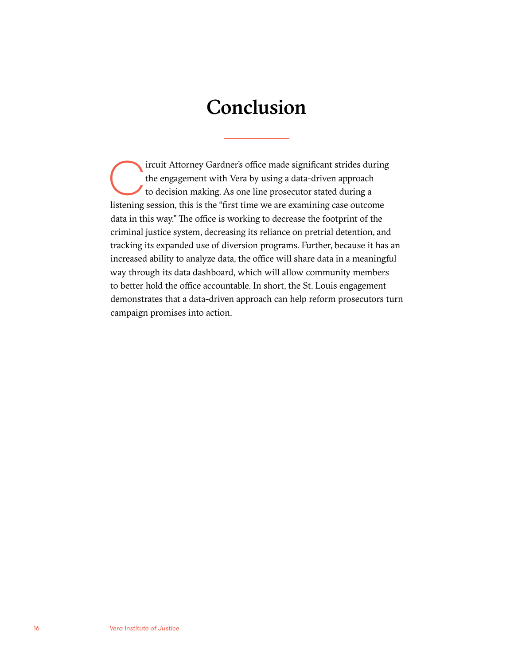# Conclusion

ircuit Attorney Gardner's office made significant strides during the engagement with Vera by using a data-driven approach to decision making. As one line prosecutor stated during a listening session, this is the "first time we are examining case outcome data in this way." The office is working to decrease the footprint of the criminal justice system, decreasing its reliance on pretrial detention, and tracking its expanded use of diversion programs. Further, because it has an increased ability to analyze data, the office will share data in a meaningful way through its data dashboard, which will allow community members to better hold the office accountable. In short, the St. Louis engagement demonstrates that a data-driven approach can help reform prosecutors turn campaign promises into action.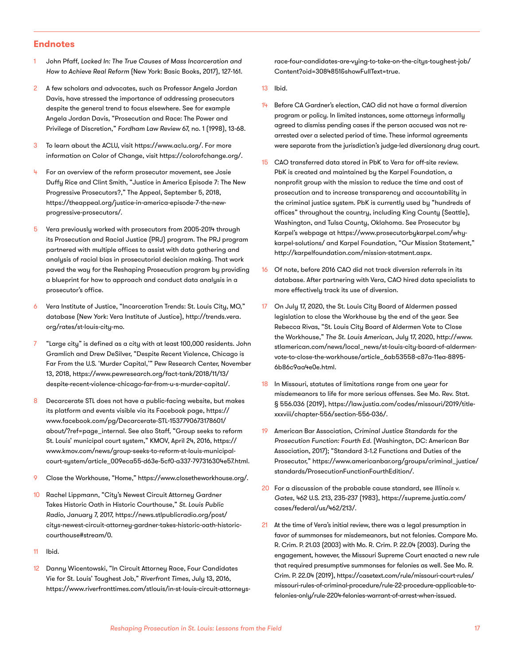#### **Endnotes**

- 1 John Pfaff, *Locked In: The True Causes of Mass Incarceration and How to Achieve Real Reform* (New York: Basic Books, 2017), 127-161.
- 2 A few scholars and advocates, such as Professor Angela Jordan Davis, have stressed the importance of addressing prosecutors despite the general trend to focus elsewhere. See for example Angela Jordan Davis, "Prosecution and Race: The Power and Privilege of Discretion," *Fordham Law Review* 67, no. 1 (1998), 13-68.
- 3 To learn about the ACLU, visit<https://www.aclu.org/>. For more information on Color of Change, visit<https://colorofchange.org/>.
- For an overview of the reform prosecutor movement, see Josie Duffy Rice and Clint Smith, "Justice in America Episode 7: The New Progressive Prosecutors?," The Appeal, September 5, 2018, [https://theappeal.org/justice-in-america-episode-7-the-new](https://theappeal.org/justice-in-america-episode-7-the-new-progressive-prosecutors/)[progressive-prosecutors/.](https://theappeal.org/justice-in-america-episode-7-the-new-progressive-prosecutors/)
- 5 Vera previously worked with prosecutors from 2005-2014 through its Prosecution and Racial Justice (PRJ) program. The PRJ program partnered with multiple offices to assist with data gathering and analysis of racial bias in prosecutorial decision making. That work paved the way for the Reshaping Prosecution program by providing a blueprint for how to approach and conduct data analysis in a prosecutor's office.
- 6 Vera Institute of Justice, "Incarceration Trends: St. Louis City, MO," database (New York: Vera Institute of Justice), [http://trends.vera.](http://trends.vera.org/rates/st-louis-city-mo) [org/rates/st-louis-city-mo](http://trends.vera.org/rates/st-louis-city-mo).
- 7 "Large city" is defined as a city with at least 100,000 residents. John Gramlich and Drew DeSilver, "Despite Recent Violence, Chicago is Far From the U.S. 'Murder Capital,'" Pew Research Center, November 13, 2018, [https://www.pewresearch.org/fact-tank/2018/11/13/](https://www.pewresearch.org/fact-tank/2018/11/13/despite-recent-violence-chicago-far-from-u-s-murder-capital/) [despite-recent-violence-chicago-far-from-u-s-murder-capital/.](https://www.pewresearch.org/fact-tank/2018/11/13/despite-recent-violence-chicago-far-from-u-s-murder-capital/)
- 8 Decarcerate STL does not have a public-facing website, but makes its platform and events visible via its Facebook page, [https://](https://www.facebook.com/pg/Decarcerate-STL-1537790673178601/about/?ref=page_internal) [www.facebook.com/pg/Decarcerate-STL-1537790673178601/](https://www.facebook.com/pg/Decarcerate-STL-1537790673178601/about/?ref=page_internal) [about/?ref=page\\_internal.](https://www.facebook.com/pg/Decarcerate-STL-1537790673178601/about/?ref=page_internal) See also Staff, "Group seeks to reform St. Louis' municipal court system," KMOV, April 24, 2016, [https://](https://www.kmov.com/news/group-seeks-to-reform-st-louis-municipal-court-system/article_009eca55-d63e-5cf0-a337-797316304e57.html) [www.kmov.com/news/group-seeks-to-reform-st-louis-municipal](https://www.kmov.com/news/group-seeks-to-reform-st-louis-municipal-court-system/article_009eca55-d63e-5cf0-a337-797316304e57.html)[court-system/article\\_009eca55-d63e-5cf0-a337-797316304e57.html.](https://www.kmov.com/news/group-seeks-to-reform-st-louis-municipal-court-system/article_009eca55-d63e-5cf0-a337-797316304e57.html)
- 9 Close the Workhouse, "Home,"<https://www.closetheworkhouse.org/>.
- 10 Rachel Lippmann, "City's Newest Circuit Attorney Gardner Takes Historic Oath in Historic Courthouse," *St. Louis Public Radio*, January 7, 2017, [https://news.stlpublicradio.org/post/](https://news.stlpublicradio.org/post/citys-newest-circuit-attorney-gardner-takes-historic-oath-historic-courthouse#stream/0) [citys-newest-circuit-attorney-gardner-takes-historic-oath-historic](https://news.stlpublicradio.org/post/citys-newest-circuit-attorney-gardner-takes-historic-oath-historic-courthouse#stream/0)[courthouse#stream/0](https://news.stlpublicradio.org/post/citys-newest-circuit-attorney-gardner-takes-historic-oath-historic-courthouse#stream/0).
- 11 Ibid.
- 12 Danny Wicentowski, "In Circuit Attorney Race, Four Candidates Vie for St. Louis' Toughest Job," *Riverfront Times*, July 13, 2016, [https://www.riverfronttimes.com/stlouis/in-st-louis-circuit-attorneys-](https://www.riverfronttimes.com/stlouis/in-st-louis-circuit-attorneys-race-four-candidates-are-vying-to-take-on-the-citys-toughest-job/Content?oid=3084851&showFullText=true)

[race-four-candidates-are-vying-to-take-on-the-citys-toughest-job/](https://www.riverfronttimes.com/stlouis/in-st-louis-circuit-attorneys-race-four-candidates-are-vying-to-take-on-the-citys-toughest-job/Content?oid=3084851&showFullText=true) [Content?oid=3084851&showFullText=true.](https://www.riverfronttimes.com/stlouis/in-st-louis-circuit-attorneys-race-four-candidates-are-vying-to-take-on-the-citys-toughest-job/Content?oid=3084851&showFullText=true)

- 13 Ibid.
- 14 Before CA Gardner's election, CAO did not have a formal diversion program or policy. In limited instances, some attorneys informally agreed to dismiss pending cases if the person accused was not rearrested over a selected period of time. These informal agreements were separate from the jurisdiction's judge-led diversionary drug court.
- 15 CAO transferred data stored in PbK to Vera for off-site review. PbK is created and maintained by the Karpel Foundation, a nonprofit group with the mission to reduce the time and cost of prosecution and to increase transparency and accountability in the criminal justice system. PbK is currently used by "hundreds of offices" throughout the country, including King County (Seattle), Washington, and Tulsa County, Oklahoma. See Prosecutor by Karpel's webpage at [https://www.prosecutorbykarpel.com/why](https://www.prosecutorbykarpel.com/why-karpel-solutions/)[karpel-solutions/](https://www.prosecutorbykarpel.com/why-karpel-solutions/) and Karpel Foundation, "Our Mission Statement," [http://karpelfoundation.com/mission-statment.aspx.](http://karpelfoundation.com/mission-statment.aspx)
- 16 Of note, before 2016 CAO did not track diversion referrals in its database. After partnering with Vera, CAO hired data specialists to more effectively track its use of diversion.
- 17 On July 17, 2020, the St. Louis City Board of Aldermen passed legislation to close the Workhouse by the end of the year. See Rebecca Rivas, "St. Louis City Board of Aldermen Vote to Close the Workhouse," *The St. Louis American*, July 17, 2020, [http://www.](http://www.stlamerican.com/news/local_news/st-louis-city-board-of-aldermen-vote-to-close-the-workhouse/article_6ab53558-c87a-11ea-8895-6b86c9aa4e0e.html) [stlamerican.com/news/local\\_news/st-louis-city-board-of-aldermen](http://www.stlamerican.com/news/local_news/st-louis-city-board-of-aldermen-vote-to-close-the-workhouse/article_6ab53558-c87a-11ea-8895-6b86c9aa4e0e.html)[vote-to-close-the-workhouse/article\\_6ab53558-c87a-11ea-8895-](http://www.stlamerican.com/news/local_news/st-louis-city-board-of-aldermen-vote-to-close-the-workhouse/article_6ab53558-c87a-11ea-8895-6b86c9aa4e0e.html) [6b86c9aa4e0e.html.](http://www.stlamerican.com/news/local_news/st-louis-city-board-of-aldermen-vote-to-close-the-workhouse/article_6ab53558-c87a-11ea-8895-6b86c9aa4e0e.html)
- 18 In Missouri, statutes of limitations range from one year for misdemeanors to life for more serious offenses. See Mo. Rev. Stat. § 556.036 (2019), [https://law.justia.com/codes/missouri/2019/title](https://law.justia.com/codes/missouri/2019/title-xxxviii/chapter-556/section-556-036/)[xxxviii/chapter-556/section-556-036/](https://law.justia.com/codes/missouri/2019/title-xxxviii/chapter-556/section-556-036/).
- 19 American Bar Association, *Criminal Justice Standards for the Prosecution Function: Fourth Ed.* (Washington, DC: American Bar Association, 2017); "Standard 3-1.2 Functions and Duties of the Prosecutor," [https://www.americanbar.org/groups/criminal\\_justice/](https://www.americanbar.org/groups/criminal_justice/standards/ProsecutionFunctionFourthEdition/) [standards/ProsecutionFunctionFourthEdition/.](https://www.americanbar.org/groups/criminal_justice/standards/ProsecutionFunctionFourthEdition/)
- 20 For a discussion of the probable cause standard, see *Illinois v. Gates*, 462 U.S. 213, 235-237 (1983), [https://supreme.justia.com/](https://supreme.justia.com/cases/federal/us/462/213/) [cases/federal/us/462/213/.](https://supreme.justia.com/cases/federal/us/462/213/)
- 21 At the time of Vera's initial review, there was a legal presumption in favor of summonses for misdemeanors, but not felonies. Compare Mo. R. Crim. P. 21.03 (2003) with Mo. R. Crim. P. 22.04 (2003). During the engagement, however, the Missouri Supreme Court enacted a new rule that required presumptive summonses for felonies as well. See Mo. R. Crim. P. 22.04 (2019), [https://casetext.com/rule/missouri-court-rules/](https://casetext.com/rule/missouri-court-rules/missouri-rules-of-criminal-procedure/rule-22-procedure-applicable-to-felonies-only/rule-2204-felonies-warrant-of-arrest-when-issued) [missouri-rules-of-criminal-procedure/rule-22-procedure-applicable-to](https://casetext.com/rule/missouri-court-rules/missouri-rules-of-criminal-procedure/rule-22-procedure-applicable-to-felonies-only/rule-2204-felonies-warrant-of-arrest-when-issued)[felonies-only/rule-2204-felonies-warrant-of-arrest-when-issued.](https://casetext.com/rule/missouri-court-rules/missouri-rules-of-criminal-procedure/rule-22-procedure-applicable-to-felonies-only/rule-2204-felonies-warrant-of-arrest-when-issued)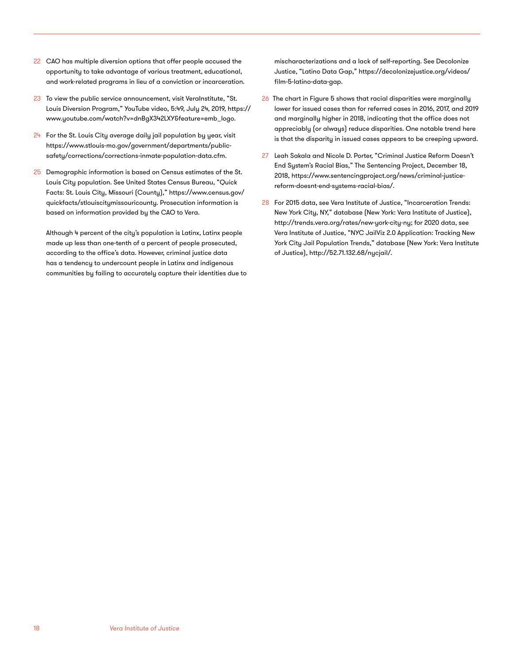- 22 CAO has multiple diversion options that offer people accused the opportunity to take advantage of various treatment, educational, and work-related programs in lieu of a conviction or incarceration.
- 23 To view the public service announcement, visit VeraInstitute, "St. Louis Diversion Program," YouTube video, 5:49, July 24, 2019, [https://](https://www.youtube.com/watch?v=dnBgX342LXY&feature=emb_logo) [www.youtube.com/watch?v=dnBgX342LXY&feature=emb\\_logo](https://www.youtube.com/watch?v=dnBgX342LXY&feature=emb_logo).
- $24$  For the St. Louis City average daily jail population by year, visit [https://www.stlouis-mo.gov/government/departments/public](https://www.stlouis-mo.gov/government/departments/public-safety/corrections/corrections-inmate-population-data.cfm)[safety/corrections/corrections-inmate-population-data.cfm](https://www.stlouis-mo.gov/government/departments/public-safety/corrections/corrections-inmate-population-data.cfm).
- 25 Demographic information is based on Census estimates of the St. Louis City population. See United States Census Bureau, "Quick Facts: St. Louis City, Missouri (County)," [https://www.census.gov/](https://www.census.gov/quickfacts/stlouiscitymissouricounty) [quickfacts/stlouiscitymissouricounty.](https://www.census.gov/quickfacts/stlouiscitymissouricounty) Prosecution information is based on information provided by the CAO to Vera.

Although 4 percent of the city's population is Latinx, Latinx people made up less than one-tenth of a percent of people prosecuted, according to the office's data. However, criminal justice data has a tendency to undercount people in Latinx and indigenous communities by failing to accurately capture their identities due to mischaracterizations and a lack of self-reporting. See Decolonize Justice, "Latino Data Gap," [https://decolonizejustice.org/videos/](https://decolonizejustice.org/videos/film-5-latino-data-gap) [film-5-latino-data-gap](https://decolonizejustice.org/videos/film-5-latino-data-gap).

- 26 The chart in Figure 5 shows that racial disparities were marginally lower for issued cases than for referred cases in 2016, 2017, and 2019 and marginally higher in 2018, indicating that the office does not appreciably (or always) reduce disparities. One notable trend here is that the disparity in issued cases appears to be creeping upward.
- 27 Leah Sakala and Nicole D. Porter, "Criminal Justice Reform Doesn't End System's Racial Bias," The Sentencing Project, December 18, 2018, [https://www.sentencingproject.org/news/criminal-justice](https://www.sentencingproject.org/news/criminal-justice-reform-doesnt-end-systems-racial-bias/)[reform-doesnt-end-systems-racial-bias/](https://www.sentencingproject.org/news/criminal-justice-reform-doesnt-end-systems-racial-bias/).
- 28 For 2015 data, see Vera Institute of Justice, "Incarceration Trends: New York City, NY," database (New York: Vera Institute of Justice), <http://trends.vera.org/rates/new-york-city-ny>; for 2020 data, see Vera Institute of Justice, "NYC JailViz 2.0 Application: Tracking New York City Jail Population Trends," database (New York: Vera Institute of Justice), <http://52.71.132.68/nycjail/>.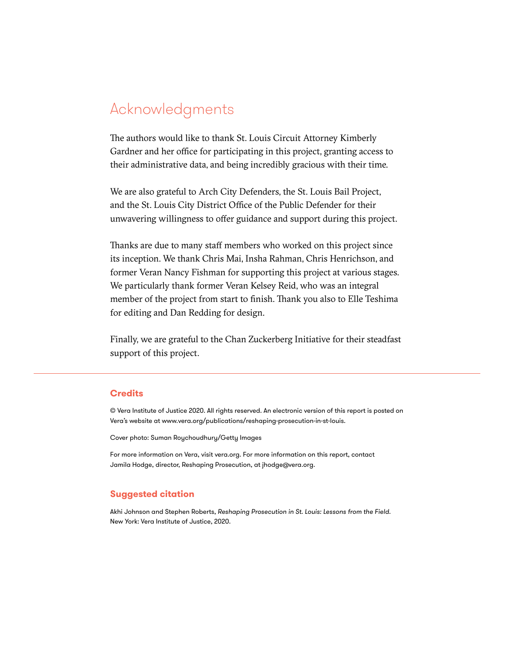## Acknowledgments

The authors would like to thank St. Louis Circuit Attorney Kimberly Gardner and her office for participating in this project, granting access to their administrative data, and being incredibly gracious with their time.

We are also grateful to Arch City Defenders, the St. Louis Bail Project, and the St. Louis City District Office of the Public Defender for their unwavering willingness to offer guidance and support during this project.

Thanks are due to many staff members who worked on this project since its inception. We thank Chris Mai, Insha Rahman, Chris Henrichson, and former Veran Nancy Fishman for supporting this project at various stages. We particularly thank former Veran Kelsey Reid, who was an integral member of the project from start to finish. Thank you also to Elle Teshima for editing and Dan Redding for design.

Finally, we are grateful to the Chan Zuckerberg Initiative for their steadfast support of this project.

#### **Credits**

© Vera Institute of Justice 2020. All rights reserved. An electronic version of this report is posted on Vera's website at [www.vera.org/publications/reshaping-prosecution-in-st-louis.](https://www.vera.org/publications/reshaping-prosecution-in-st-louis)

Cover photo: Suman Roychoudhury/Getty Images

For more information on Vera, visit vera.org. For more information on this report, contact Jamila Hodge, director, Reshaping Prosecution, at jhodge@vera.org.

#### **Suggested citation**

Akhi Johnson and Stephen Roberts, *Reshaping Prosecution in St. Louis: Lessons from the Field*. New York: Vera Institute of Justice, 2020.